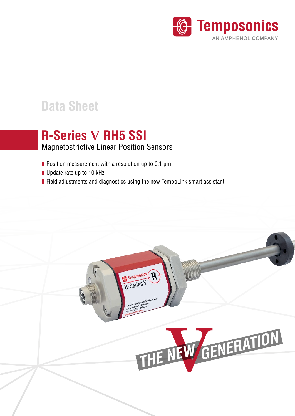

# **Data Sheet**

# **R-Series V RH5 SSI**

## Magnetostrictive Linear Position Sensors

- **Position measurement with a resolution up to 0.1 µm**
- Update rate up to 10 kHz
- **Field adjustments and diagnostics using the new TempoLink smart assistant**

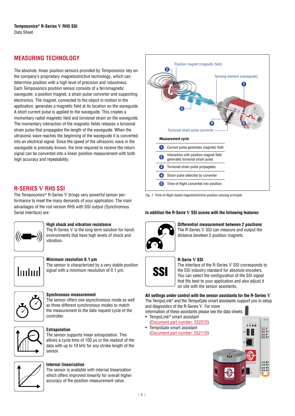## **MEASURING TECHNOLOGY**

The absolute, linear position sensors provided by Temposonics rely on the company's proprietary magnetostrictive technology, which can determine position with a high level of precision and robustness. Each Temposonics position sensor consists of a ferromagnetic waveguide, a position magnet, a strain pulse converter and supporting electronics. The magnet, connected to the object in motion in the application, generates a magnetic field at its location on the waveguide. A short current pulse is applied to the waveguide. This creates a momentary radial magnetic field and torsional strain on the waveguide. The momentary interaction of the magnetic fields releases a torsional strain pulse that propagates the length of the waveguide. When the ultrasonic wave reaches the beginning of the waveguide it is converted into an electrical signal. Since the speed of the ultrasonic wave in the waveguide is precisely known, the time required to receive the return signal can be converted into a linear position measurement with both high accuracy and repeatability.

## **R-SERIES V RH5 SSI**

The Temposonics® R-Series V brings very powerful sensor performance to meet the many demands of your application. The main advantages of the rod version RH5 with SSI output (Synchronous Serial Interface) are:



#### **High shock and vibration resistance**

The R-Series V is the long term solution for harsh environments that have high levels of shock and vibration.



#### **Minimum resolution 0.1 μm** The sensor is characterized by a very stable position

signal with a minimum resolution of 0.1 μm.



#### **Synchronous measurement**

The sensor offers one asynchronous mode as well as three different synchronous modes to match the measurement to the data request cycle of the controller.



#### **Extrapolation**

The sensor supports linear extrapolation. This allows a cycle time of 100 μs or the readout of the data with up to 10 kHz for any stroke length of the sensor.



### **Internal linearization**

The sensor is available with internal linearization which offers improved linearity for overall higher accuracy of the position measurement value.



*Fig. 1:* Time-of-flight based magnetostrictive position sensing principle

#### **In addition the R-Serie V SSI scores with the following features:**



**Differential measurement between 2 positions**  The R-Series V SSI can measure and output the distance bewteen 2 position magnets.



#### **R-Serie V SSI**

The interface of the R-Series V SSI corresponds to the SSI industry standard for absolute encoders. You can select the configuration of the SSI signal that fits best to your application and also adjust it on site with the sensor assistents.

**All settings under control with the sensor assistants for the R-Series V** The TempoLink® and the TempoGate smart assistants support you in setup and diagnostics of the R-Series V. For more

information of these assistants please see the data sheets:

- TempoLink® smart assistant
- (Document part number: 552070) • [TempoGate smart assistant](https://www.temposonics.com/literature/552070_en)
- [\(Document part number: 552110\)](https://www.temposonics.com/literature/552110_en)

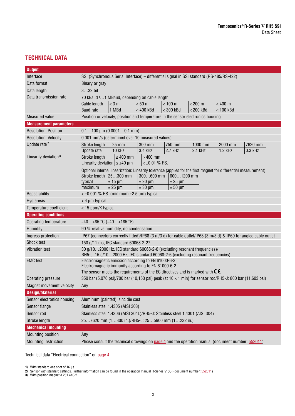## **TECHNICAL DATA**

| <b>Output</b>                    |                                                                                                                                                            |  |  |  |
|----------------------------------|------------------------------------------------------------------------------------------------------------------------------------------------------------|--|--|--|
| Interface                        | SSI (Synchronous Serial Interface) - differential signal in SSI standard (RS-485/RS-422)                                                                   |  |  |  |
| Data format                      | Binary or gray                                                                                                                                             |  |  |  |
| Data length                      | 832 bit                                                                                                                                                    |  |  |  |
| Data transmission rate           | 70 kBaud <sup>1</sup> 1 MBaud, depending on cable length:                                                                                                  |  |  |  |
|                                  | $< 100$ m<br>$< 200$ m<br>< 400 m<br>$<$ 3 m<br>< 50 m<br>Cable length                                                                                     |  |  |  |
|                                  | 1 MBd<br>$< 400$ kBd<br>$<$ 300 kBd<br>< 200 kBd<br>$< 100$ kBd<br><b>Baud</b> rate                                                                        |  |  |  |
| <b>Measured value</b>            | Position or velocity, position and temperature in the sensor electronics housing                                                                           |  |  |  |
| <b>Measurement parameters</b>    |                                                                                                                                                            |  |  |  |
| <b>Resolution: Position</b>      | $0.1100 \mu m (0.00010.1 mm)$                                                                                                                              |  |  |  |
| <b>Resolution: Velocity</b>      | 0.001 mm/s (determined over 10 measured values)                                                                                                            |  |  |  |
| Update rate <sup>2</sup>         | 25 mm<br>300 mm<br>1000 mm<br>2000 mm<br>7620 mm<br>Stroke length<br>750 mm                                                                                |  |  |  |
|                                  | <b>Update</b> rate<br>10 kHz<br>3.4 kHz<br>2.7 kHz<br>2.1 kHz<br>1.2 kHz<br>0.3 kHz                                                                        |  |  |  |
| Linearity deviation <sup>3</sup> | $\leq 400$ mm<br>$>400$ mm<br>Stroke length                                                                                                                |  |  |  |
|                                  | Linearity deviation $\leq \pm 40$ µm<br>$<$ ±0.01 % F.S.                                                                                                   |  |  |  |
|                                  | Optional internal linearization: Linearity tolerance (applies for the first magnet for differential measurement)                                           |  |  |  |
|                                  | Stroke length $ 25300$ mm<br>300600 mm<br>6001200 mm                                                                                                       |  |  |  |
|                                  | $± 25 \mu m$<br>typical<br>$± 15 \mu m$<br>$± 20 \mu m$<br>$± 25 \mu m$<br>$± 30 \mu m$<br>maximum<br>$± 50 \mu m$                                         |  |  |  |
| Repeatability                    | $<$ ±0.001 % F.S. (minimum ±2.5 µm) typical                                                                                                                |  |  |  |
| Hysteresis                       | $<$ 4 µm typical                                                                                                                                           |  |  |  |
|                                  |                                                                                                                                                            |  |  |  |
| Temperature coefficient          | < 15 ppm/K typical                                                                                                                                         |  |  |  |
| <b>Operating conditions</b>      |                                                                                                                                                            |  |  |  |
| Operating temperature            | $-40+85$ °C ( $-40+185$ °F)                                                                                                                                |  |  |  |
| Humidity                         | 90 % relative humidity, no condensation                                                                                                                    |  |  |  |
| Ingress protection               | IP67 (connectors correctly fitted)/IP68 (3 m/3 d) for cable outlet/IP68 (3 m/3 d) & IP69 for angled cable outlet                                           |  |  |  |
| Shock test                       | 150 g/11 ms, IEC standard 60068-2-27                                                                                                                       |  |  |  |
| Vibration test                   | 30 g/102000 Hz, IEC standard 60068-2-6 (excluding resonant frequencies)/<br>RH5-J: 15 g/102000 Hz, IEC standard 60068-2-6 (excluding resonant frequencies) |  |  |  |
| <b>EMC</b> test                  | Electromagnetic emission according to EN 61000-6-3                                                                                                         |  |  |  |
|                                  | Electromagnetic immunity according to EN 61000-6-2                                                                                                         |  |  |  |
|                                  | The sensor meets the requirements of the EC directives and is marked with $\mathsf{C}\mathsf{\mathsf{E}}$                                                  |  |  |  |
| Operating pressure               | 350 bar (5,076 psi)/700 bar (10,153 psi) peak (at 10 x 1 min) for sensor rod/RH5-J: 800 bar (11,603 psi)                                                   |  |  |  |
| Magnet movement velocity         | Any                                                                                                                                                        |  |  |  |
| <b>Design/Material</b>           |                                                                                                                                                            |  |  |  |
| Sensor electronics housing       | Aluminum (painted), zinc die cast                                                                                                                          |  |  |  |
| Sensor flange                    | Stainless steel 1.4305 (AISI 303)                                                                                                                          |  |  |  |
| Sensor rod                       | Stainless steel 1.4306 (AISI 304L)/RH5-J: Stainless steel 1.4301 (AISI 304)                                                                                |  |  |  |
| Stroke length                    | 257620 mm (1300 in.)/RH5-J: 255900 mm (1232 in.)                                                                                                           |  |  |  |
| <b>Mechanical mounting</b>       |                                                                                                                                                            |  |  |  |
| Mounting position                | Any                                                                                                                                                        |  |  |  |

Technical data "Electrical connection" on [page 4](#page-3-1)

**1/** With standard one shot of 16 μs

**2/** Sensor with standard settings. Further information can be found in the operation manual R-Series V SSI (document number: [552011\)](https://www.temposonics.com/literature/552011_en)

**3/** With position magnet # 251 416-2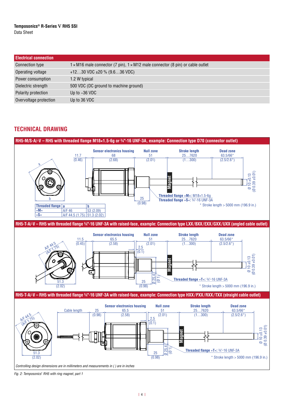<span id="page-3-1"></span>

| <b>Electrical connection</b> |                                                                                              |
|------------------------------|----------------------------------------------------------------------------------------------|
| Connection type              | $1 \times M16$ male connector (7 pin), $1 \times M12$ male connector (8 pin) or cable outlet |
| Operating voltage            | +1230 VDC $\pm 20$ % (9.636 VDC)                                                             |
| Power consumption            | 1.2 W typical                                                                                |
| Dielectric strength          | 500 VDC (DC ground to machine ground)                                                        |
| Polarity protection          | Up to $-36$ VDC                                                                              |
| Overvoltage protection       | Up to 36 VDC                                                                                 |

## <span id="page-3-0"></span>**TECHNICAL DRAWING**



*Fig. 2:* Temposonics*®* RH5 with ring magnet, part 1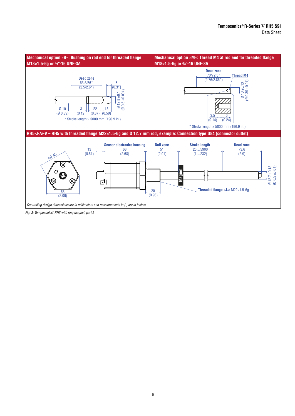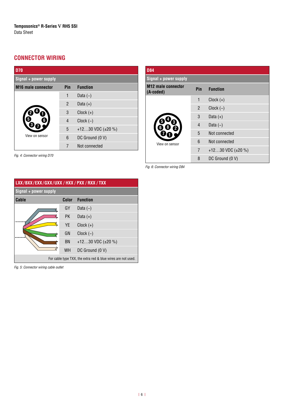## **CONNECTOR WIRING**

*Fig. 4:* Connector wiring D70

| <b>D70</b>                |                        |                         |  |  |  |
|---------------------------|------------------------|-------------------------|--|--|--|
| Signal + power supply     |                        |                         |  |  |  |
| <b>M16</b> male connector | <b>Function</b><br>Pin |                         |  |  |  |
|                           | 1                      | Data $(-)$              |  |  |  |
|                           | $\overline{2}$         | Data $(+)$              |  |  |  |
|                           | 3                      | $Clock (+)$             |  |  |  |
|                           | 4                      | $Clock (-)$             |  |  |  |
|                           | 5                      | +1230 VDC $(\pm 20\% )$ |  |  |  |
| View on sensor            | 6                      | DC Ground (0 V)         |  |  |  |
|                           | 7                      | Not connected           |  |  |  |

| <b>D84</b>                                                       |                |                         |  |  |  |
|------------------------------------------------------------------|----------------|-------------------------|--|--|--|
| Signal + power supply                                            |                |                         |  |  |  |
| <b>M12 male connector</b><br>Pin<br><b>Function</b><br>(A-coded) |                |                         |  |  |  |
|                                                                  | 1              | $Clock (+)$             |  |  |  |
|                                                                  | $\overline{2}$ | $Clock (-)$             |  |  |  |
|                                                                  | 3              | Data $(+)$              |  |  |  |
|                                                                  | 4              | Data $(-)$              |  |  |  |
|                                                                  | 5              | Not connected           |  |  |  |
| View on sensor                                                   | 6              | Not connected           |  |  |  |
|                                                                  | $\overline{7}$ | +1230 VDC $(\pm 20\% )$ |  |  |  |
|                                                                  | 8              | DC Ground (0 V)         |  |  |  |

*Fig. 6:* Connector wiring D84

| LXX/BXX/EXX/GXX/UXX/HXX/PXX/RXX/TXX                          |           |                        |  |  |
|--------------------------------------------------------------|-----------|------------------------|--|--|
| Signal + power supply                                        |           |                        |  |  |
| Cable<br>Color<br><b>Function</b>                            |           |                        |  |  |
|                                                              | GY        | Data $(-)$             |  |  |
|                                                              | <b>PK</b> | Data $(+)$             |  |  |
|                                                              | <b>YE</b> | $Clock (+)$            |  |  |
|                                                              | GN        | $Clock (-)$            |  |  |
|                                                              | BN        | +1230 VDC $(\pm 20\%)$ |  |  |
|                                                              | <b>WH</b> | DC Ground (0 V)        |  |  |
| For cable type TXX, the extra red & blue wires are not used. |           |                        |  |  |

*Fig. 5:* Connector wiring cable outlet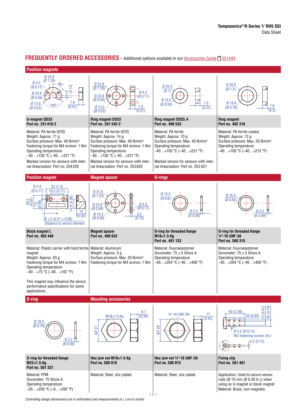## **FREQUENTLY ORDERED ACCESSORIES** – Additional options available in our [Accessories Guide](https://www.temposonics.com/literature/551444_en) [ 551444

#### **Position magnets**



Controlling design dimensions are in millimeters and measurements in ( ) are in inches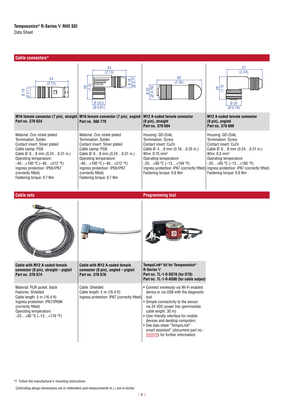#### **Cable connectors\*** 54 57 (2.13) (2.24) 60 54 (Ø 0.71) Ø 18  $(2.36)$  $(2.13)$ (1.5)  $\frac{8}{3}$ (Ø 0.79)  $\frac{38}{(1.5)}$  $\overline{\mathcal{S}}$ Ø 18  $0.71$ **Timummin**  $\Box$ **ummum** Ø 20.5 Ø 20 (Ø 0.81) (Ø 0.79) **M12 A-coded female connector M12 A-coded female connector M16 female connector (7 pin), straight M16 female connector (7 pin), angled Part no. 370 624 Part no. 560 779 (8 pin), angled (8 pin), straight Part no. 370 699 Part no. 370 694** Material: Zinc nickel plated Material: Zinc nickel plated Housing: GD-ZnAL Housing: GD-ZnAL Termination: Solder Termination: Solder Termination: Screw Termination: Screw Contact insert: Silver plated Contact insert: Silver plated Contact insert: CuZn Contact insert: CuZn Cable clamp: PG9 Cable clamp: PG9 Cable Ø: 4…9 mm (0.16…0.35 in.) Cable Ø: 6…8 mm (0.24…0.31 in.) Cable Ø: 6…8 mm (0.24…0.31 in.) Cable Ø: 6…8 mm (0.24…0.31 in.) Wire: 0.75 mm2 Wire: 0.5 mm2 Operating temperature: Operating temperature: Operating temperature: Operating temperature: −40…+100 °C (−40…+212 °F) −40…+100 °C (−40…+212 °F) −25…+90 °C (−13…+194 °F) −25…+85 °C (−13…+185 °F) Ingress protection: IP65/IP67 Ingress protection: IP65/IP67 Ingress protection: IP67 (correctly fitted) Ingress protection: IP67 (correctly fitted) (correctly fitted) (correctly fitted) Fastening torque: 0.6 Nm Fastening torque: 0.6 Nm Fastening torque: 0.7 Nm Fastening torque: 0.7 Nm **Cable sets Programming tool**  $\blacksquare$

| <b>Cable with M12 A-coded female</b><br>connector (8 pin), straight – pigtail<br>Part no. 370 674                                                                                              | Cable with M12 A-coded female<br>connector (8 pin), angled – pigtail<br>Part no. 370 676                | TempoLink® kit for Temposonics®<br><b>R-Series V</b><br>Part no. TL-1-0-SD70 (for D70)<br>Part no. TL-1-0-AS00 (for cable output)                                                                                                                                                                                                                                               |
|------------------------------------------------------------------------------------------------------------------------------------------------------------------------------------------------|---------------------------------------------------------------------------------------------------------|---------------------------------------------------------------------------------------------------------------------------------------------------------------------------------------------------------------------------------------------------------------------------------------------------------------------------------------------------------------------------------|
| Material: PUR jacket; black<br>Features: Shielded<br>Cable length: 5 m (16.4 ft)<br>Ingress protection: IP67/IP69K<br>(correctly fitted)<br>Operating temperature:<br>$-25+80 °C (-13+176 °F)$ | Cable: Shielded<br>Cable length: $5 \text{ m}$ (16.4 ft)<br>Ingress protection: IP67 (correctly fitted) | • Connect wirelessly via Wi-Fi enabled<br>device or via USB with the diagnostic<br>tool<br>• Simple connectivity to the sensor<br>via 24 VDC power line (permissible<br>cable length: 30 m)<br>• User friendly interface for mobile<br>devices and desktop computers<br>• See data sheet "TempoLink®<br>smart assistant" (document part no.:<br>552070) for further information |

**\*/** Follow the manufacturer's mounting instructions

Controlling design dimensions are in millimeters and measurements in ( ) are in inches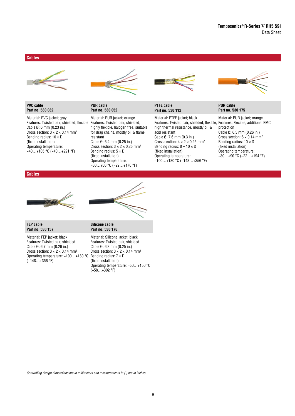#### **Cables**



#### **Cables**





| <b>FEP cable</b><br>Part no. 530 157                                                                                                                                                                                         | Silicone cable<br>Part no. 530 176                                                                                                                                                                                                                                           |
|------------------------------------------------------------------------------------------------------------------------------------------------------------------------------------------------------------------------------|------------------------------------------------------------------------------------------------------------------------------------------------------------------------------------------------------------------------------------------------------------------------------|
| Material: FEP jacket; black<br>Features: Twisted pair, shielded<br>Cable $\emptyset$ : 6.7 mm (0.26 in.)<br>Cross section: $3 \times 2 \times 0.14$ mm <sup>2</sup><br>Operating temperature: -100+180 °C<br>$(-148+356$ °F) | Material: Silicone jacket; black<br>Features: Twisted pair, shielded<br>Cable Ø: 6.3 mm (0.25 in.)<br>Cross section: $3 \times 2 \times 0.14$ mm <sup>2</sup><br>Bending radius: $7 \times D$<br>(fixed installation)<br>Operating temperature: -50+150 °C<br>$(-58+302$ °F) |

Controlling design dimensions are in millimeters and measurements in ( ) are in inches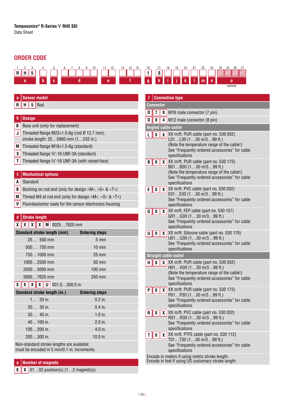## **ORDER CODE**



| <b>Sensor model</b><br>a                                                                          |                                                         | f             |
|---------------------------------------------------------------------------------------------------|---------------------------------------------------------|---------------|
| н<br>Rod<br>5<br>R                                                                                |                                                         | <b>Conne</b>  |
|                                                                                                   |                                                         | 7<br>D        |
| b<br><b>Design</b>                                                                                |                                                         | D             |
| В<br>Base unit (only for replacement)                                                             |                                                         | Angler        |
| Threaded flange M22 $\times$ 1.5-6g (rod Ø 12.7 mm),<br>J                                         |                                                         | L             |
| stroke length: 255900 mm (1232 in.)                                                               |                                                         |               |
| M<br>Threaded flange M18×1.5-6g (standard)                                                        |                                                         |               |
| S<br>Threaded flange 3/4"-16 UNF-3A (standard)                                                    |                                                         |               |
| Τ<br>Threaded flange 3/4"-16 UNF-3A (with raised-face)                                            |                                                         | B             |
| <b>Mechanical options</b><br>C                                                                    |                                                         |               |
| Standard<br>A                                                                                     |                                                         |               |
| Bushing on rod end (only for design »M«, »S« & »T«)<br>B                                          |                                                         | E             |
| M                                                                                                 | Thread M4 at rod end (only for design »M«, »S« & »T«)   |               |
| V                                                                                                 | Fluorelastomer seals for the sensor electronics housing |               |
|                                                                                                   |                                                         | G             |
| <b>Stroke length</b><br>d                                                                         |                                                         |               |
| $\mathbf{X} \parallel \mathbf{X} \parallel \mathbf{X} \parallel \mathbf{M} \mid 00257620$ mm<br>x |                                                         |               |
| <b>Standard stroke length (mm)</b>                                                                | <b>Ordering steps</b>                                   | U             |
| 25 500 mm                                                                                         | $5 \, \text{mm}$                                        |               |
| 500 750 mm                                                                                        | $10 \text{ mm}$                                         |               |
| 7501000 mm                                                                                        | $25 \text{ mm}$                                         | <b>Straig</b> |
| 10002500 mm                                                                                       | 50 mm                                                   | н             |
| 25005000 mm                                                                                       | 100 mm                                                  |               |
| 50007620 mm                                                                                       | 250 mm                                                  |               |
| $\mathbf{X} \parallel \mathbf{X} \parallel \mathbf{X} \parallel 0$ 001.0300.0 in.<br>x            |                                                         |               |
| Standard stroke length (in.)                                                                      | <b>Ordering steps</b>                                   | P             |
| $1 20$ in.                                                                                        | $0.2$ in.                                               |               |
| 20 30 in.                                                                                         | $0.4$ in.                                               |               |
| $30$ 40 in.                                                                                       | $1.0$ in.                                               | R             |
| 40100 in.                                                                                         | 2.0 in.                                                 |               |
| 100200 in.                                                                                        | 4.0 in.                                                 |               |
|                                                                                                   |                                                         |               |
| 200300 in.                                                                                        | 10.0 in.                                                |               |
| Non-standard stroke lengths are available;<br>must be encoded in 5 mm/0.1 in. increments.         |                                                         |               |

## **e Number of magnets**

 $\boxed{\textbf{X} \mid \textbf{X}}$  01...02 position(s)  $(1...2 \text{ magnet(s)})$ 

| f                                                                                                                                             |                                            |   |                                                                                                                                                                                     |  |  |  |  |
|-----------------------------------------------------------------------------------------------------------------------------------------------|--------------------------------------------|---|-------------------------------------------------------------------------------------------------------------------------------------------------------------------------------------|--|--|--|--|
|                                                                                                                                               | <b>Connection type</b><br><b>Connector</b> |   |                                                                                                                                                                                     |  |  |  |  |
| D                                                                                                                                             | 7<br>M16 male connector (7 pin)<br>0       |   |                                                                                                                                                                                     |  |  |  |  |
| D                                                                                                                                             | 8                                          | 4 | M12 male connector (8 pin)                                                                                                                                                          |  |  |  |  |
|                                                                                                                                               |                                            |   | <b>Angled cable outlet</b>                                                                                                                                                          |  |  |  |  |
| L                                                                                                                                             | χ                                          |   | $\chi$ XX m/ft. PUR cable (part no. 530 052)                                                                                                                                        |  |  |  |  |
|                                                                                                                                               |                                            |   | L01L30 (130 m/399 ft.)<br>(Note the temperature range of the cable!)<br>See "Frequently ordered accessories" for cable<br>specifications                                            |  |  |  |  |
| В                                                                                                                                             | $\mathsf{x}$                               |   | X XX m/ft. PUR cable (part no. 530 175)<br>B01B30 (130 m/399 ft.)<br>(Note the temperature range of the cable!)<br>See "Frequently ordered accessories" for cable<br>specifications |  |  |  |  |
| E                                                                                                                                             | χ                                          |   | X XX m/ft. PVC cable (part no. 530 032)<br>E01E30 (130 m/399 ft.)<br>See "Frequently ordered accessories" for cable<br>specifications                                               |  |  |  |  |
| G                                                                                                                                             | χ                                          | X | XX m/ft. FEP cable (part no. 530 157)<br>G01G30 (130 m/399 ft.)                                                                                                                     |  |  |  |  |
|                                                                                                                                               |                                            |   | See "Frequently ordered accessories" for cable<br>specifications                                                                                                                    |  |  |  |  |
| U                                                                                                                                             | χ                                          |   | $\chi$ XX m/ft. Silicone cable (part no. 530 176)<br>U01U30 (130 m/399 ft.)<br>See "Frequently ordered accessories" for cable<br>specifications                                     |  |  |  |  |
|                                                                                                                                               |                                            |   | <b>Straight cable outlet</b>                                                                                                                                                        |  |  |  |  |
| н                                                                                                                                             | χ                                          |   | $\chi$ XX m/ft. PUR cable (part no. 530 052)                                                                                                                                        |  |  |  |  |
|                                                                                                                                               |                                            |   | H01H30 (130 m/399 ft.)<br>(Note the temperature range of the cable!)<br>See "Frequently ordered accessories" for cable<br>specifications                                            |  |  |  |  |
| P<br>χ<br>specifications                                                                                                                      |                                            |   | $\chi$ XX m/ft. PUR cable (part no. 530 175)<br>P01P30 (130 m/399 ft.)<br>See "Frequently ordered accessories" for cable                                                            |  |  |  |  |
| XX m/ft. PVC cable (part no. 530 032)<br>R<br>X<br>x <sub>1</sub><br>R01R30 (130 m/399 ft.)<br>See "Frequently ordered accessories" for cable |                                            |   | specifications                                                                                                                                                                      |  |  |  |  |
| T                                                                                                                                             | X                                          |   | $\chi$ XX m/ft. PTFE cable (part no. 530 112)                                                                                                                                       |  |  |  |  |
|                                                                                                                                               |                                            |   | T01T30 (130 m/399 ft.)<br>See "Frequently ordered accessories" for cable<br>specifications                                                                                          |  |  |  |  |
| Encode in meters if using metric stroke length.<br>Encode in feet if using US customary stroke length.                                        |                                            |   |                                                                                                                                                                                     |  |  |  |  |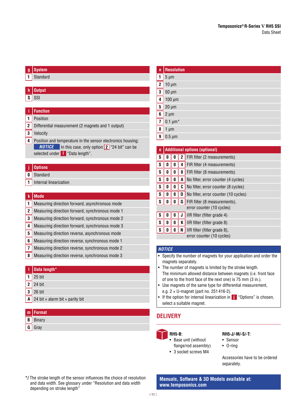## **g System**

**1** Standard

## **h Output**

 $s$  SSI

## **i Function**

- **1** Position
- **2** Differential measurement (2 magnets and 1 output)
- **3** Velocity
- **4** Position and temperature in the sensor electronics housing; *NOTICE* In this case, only option 2 "24 bit" can be selected under **l** "Data length".

#### **j Options**

- **0** Standard
- **1** Internal linearization

#### **k Mode**

|  | 1 Measuring direction forward, asynchronous mode |  |  |  |
|--|--------------------------------------------------|--|--|--|
|--|--------------------------------------------------|--|--|--|

- **2** Measuring direction forward, synchronous mode 1
- **3** Measuring direction forward, synchronous mode 2
- **4** Measuring direction forward, synchronous mode 3
- **5** Measuring direction reverse, asynchronous mode
- **6** Measuring direction reverse, synchronous mode 1
- **7** Measuring direction reverse, synchronous mode 2
- **8** Measuring direction reverse, synchronous mode 3
- **l Data length\* 1** 25 bit **2**  $\sqrt{24}$  bit **3** 26 bit **A** 24 bit + alarm bit + parity bit

#### **m Format B** Binary

**G** Gray

## **n Resolution 1** 5 µm **2** 10 µm **3** 50  $\mu$ m **4** 100 µm  $5 \mid 20 \mu m$  $6 \mid 2 \mu m$  $\overline{7}$  0.1 µm<sup>\*</sup>  $8 \mid 1 \text{ µm}$ **9**  $\sqrt{0.5}$  µm

| $\bf{0}$                  | <b>Additional options (optional)</b>        |   |   |                                      |  |  |
|---------------------------|---------------------------------------------|---|---|--------------------------------------|--|--|
| S                         | 0                                           | 0 | 2 | FIR filter (2 measurements)          |  |  |
| ${\bf S}$                 | 0                                           | 0 | 4 | FIR filter (4 measurements)          |  |  |
| ${\bf S}$                 | 0                                           | 0 | 8 | FIR filter (8 measurements)          |  |  |
| ${\bf S}$                 | 0                                           | 0 | A | No filter, error counter (4 cycles)  |  |  |
| S                         | 0                                           | 0 | C | No filter, error counter (8 cycles)  |  |  |
| S                         | 0                                           | 0 | D | No filter, error counter (10 cycles) |  |  |
| S                         | 0<br>G<br>FIR filter (8 measurements),<br>Λ |   |   |                                      |  |  |
|                           | error counter (10 cycles)                   |   |   |                                      |  |  |
| S                         | 0                                           | U | J | IIR filter (filter grade 4)          |  |  |
| S                         | 0                                           | 0 | K | IIR filter (filter grade 8)          |  |  |
| ${\bf S}$                 | 0<br>IIR filter (filter grade 8),<br>N<br>Λ |   |   |                                      |  |  |
| error counter (10 cycles) |                                             |   |   |                                      |  |  |

#### *NOTICE*

- Specify the number of magnets for your application and order the magnets separately.
- The number of magnets is limited by the stroke length. The minimum allowed distance between magnets (i.e. front face of one to the front face of the next one) is 75 mm (3 in.).
- Use magnets of the same type for differential measurement, e.g.  $2 \times U$ -magnet (part no. 251416-2).
- If the option for internal linearization in **j** "Options" is chosen, select a suitable magnet.

## **DELIVERY**



- **RH5-B:** • Base unit (without flange/rod assembly)
- 3 socket screws M4

#### **RH5-J/-M/-S/-T:**

- Sensor
- O-ring

Accessories have to be ordered separately.

**Manuals, Software & 3D Models available at: [www.temposonics.com](http://www.temposonics.com)**

\*/ The stroke length of the sensor influences the choice of resolution and data width. See glossary under "Resolution and data width depending on stroke length"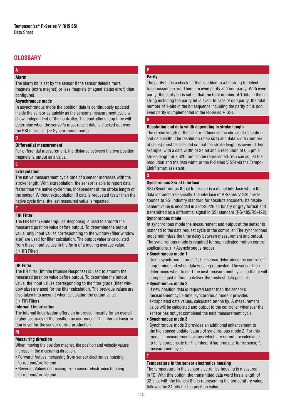## **GLOSSARY**

#### **A Alarm**

The alarm bit is set by the sensor if the sensor detects more magnets (extra magnet) or less magnets (magnet status error) than configured.

#### **Asynchronous mode**

In asynchronous mode the position data is continuously updated inside the sensor as quickly as the sensor's measurement cycle will allow, independent of the controller. The controller's loop time will determine when the sensor's most recent data is clocked out over the SSI interface.  $(\rightarrow$  Synchronous mode)

#### **D**

#### **Differential measurement**

For differential measurement, the distance between the two position magnets is output as a value.

#### **E**

#### **Extrapolation**

The native measurement cycle time of a sensor increases with the stroke length. With extrapolation, the sensor is able to report data faster than the native cycle time, independent of the stroke length of the sensor. Without extrapolation, if data is requested faster than the native cycle time, the last measured value is repeated.

#### **F**

#### **FIR Filter**

The FIR filter (Finite Impulse Response) is used to smooth the measured position value before output. To determine the output value, only input values corresponding to the window (filter window size) are used for filter calculation. The output value is calculated from these input values in the form of a moving average value.  $(\rightarrow$  IIR Filter)

## **I**

#### **IIR Filter**

The IIR filter (Infinite Impulse Response) is used to smooth the measured position value before output. To determine the output value, the input values corresponding to the filter grade (filter window size) are used for the filter calculation. The previous values are also taken into account when calculating the output value.  $(\rightarrow$  FIR Filter)

#### **Internal Linearization**

The internal linearization offers an improved linearity for an overall higher accuracy of the position measurement. The internal linearization is set for the sensor during production.

#### **M**

#### **Measuring direction**

When moving the position magnet, the position and velocity values increase in the measuring direction.

- Forward: Values increasing from sensor electronics housing to rod end/profile end
- Reverse: Values decreasing from sensor electronics housing to rod end/profile end

#### **P Parity**

The parity bit is a check bit that is added to a bit string to detect transmission errors. There are even parity and odd parity. With even parity, the parity bit is set so that the total number of 1-bits in the bit string including the parity bit is even. In case of odd parity, the total number of 1-bits in the bit sequence including the parity bit is odd. Even parity is implemented in the R-Series V SSI.

#### **R**

#### **Resolution and data width depending in stroke length**

The stroke length of the sensor influences the choice of resolution and data width. The resolution (step size) and data width (number of steps) must be selected so that the stroke length is covered. For example, with a data width of 24 bit and a resolution of 0.5 µm a stroke length of 7,620 mm can be represented. You can adjust the resolution and the data width of the R-Series V SSI via the Tempo-Link® smart assistant.

## **S**

#### **Synchronous Serial Interface**

SSI (**S**ynchronous **S**erial **I**nterface) is a digital interface where the data is transferred serially.The interface of R-Series V SSI corresponds to SSI industry standard for absolute encoders. Its displacement value is encoded in a 24/25/26 bit binary or gray format and transmitted as a differential signal in SSI standard (RS-485/RS-422). **Synchronous mode** 

In synchronous mode the measurement and output of the sensor is matched to the data request cycle of the controller. The synchronous mode minimizes the time delay between measurement and output. The synchronous mode is required for sophisticated motion control applications.  $(\rightarrow$  Asynchronous mode)

#### **• Synchronous mode 1**

Using synchronous mode 1, the sensor determines the controller's loop timing and when data is being requested. The sensor then determines when to start the next measurement cycle so that it will complete just in time to deliver the freshest data possible.

#### **• Synchronous mode 2**

If new position data is required faster than the sensor's measurement cycle time, synchronous mode 2 provides extrapolated data values, calculated on the fly. A measurement value will be calculated and output to the controller whenever the sensor has not yet completed the next measurement cycle.

#### **• Synchronous mode 3**

Synchronous mode 3 provides an additional enhancement to the high speed update feature of synchronous mode 2. For this mode all measurements values which are output are calculated to fully compensate for the inherent lag time due to the sensor's measurement cycle.

#### **Temperature in the sensor electronics housing**

The temperature in the sensor electronics housing is measured in °C. With this option, the transmitted data word has a length of 32 bits, with the highest 8 bits representing the temperature value, followed by 24 bits for the position value.

**T**